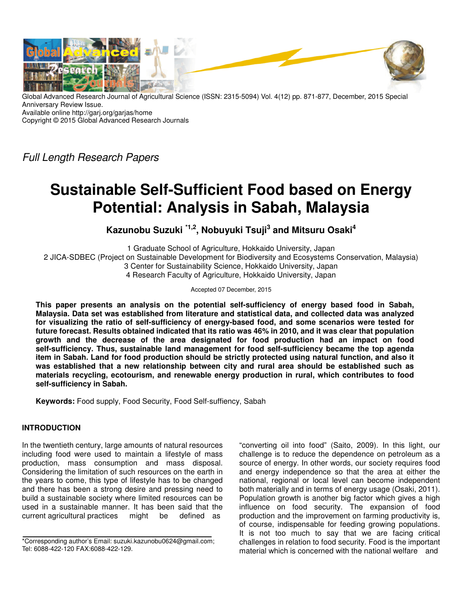

Global Advanced Research Journal of Agricultural Science (ISSN: 2315-5094) Vol. 4(12) pp. 871-877, December, 2015 Special Anniversary Review Issue.

Available online http://garj.org/garjas/home

Copyright © 2015 Global Advanced Research Journals

Full Length Research Papers

# **Sustainable Self-Sufficient Food based on Energy Potential: Analysis in Sabah, Malaysia**

**Kazunobu Suzuki \*1,2, Nobuyuki Tsuji<sup>3</sup> and Mitsuru Osaki<sup>4</sup>**

1 Graduate School of Agriculture, Hokkaido University, Japan 2 JICA-SDBEC (Project on Sustainable Development for Biodiversity and Ecosystems Conservation, Malaysia) 3 Center for Sustainability Science, Hokkaido University, Japan

4 Research Faculty of Agriculture, Hokkaido University, Japan

Accepted 07 December, 2015

**This paper presents an analysis on the potential self-sufficiency of energy based food in Sabah, Malaysia. Data set was established from literature and statistical data, and collected data was analyzed for visualizing the ratio of self-sufficiency of energy-based food, and some scenarios were tested for future forecast. Results obtained indicated that its ratio was 46% in 2010, and it was clear that population growth and the decrease of the area designated for food production had an impact on food self-sufficiency. Thus, sustainable land management for food self-sufficiency became the top agenda item in Sabah. Land for food production should be strictly protected using natural function, and also it was established that a new relationship between city and rural area should be established such as materials recycling, ecotourism, and renewable energy production in rural, which contributes to food self-sufficiency in Sabah.** 

**Keywords:** Food supply, Food Security, Food Self-suffiency, Sabah

# **INTRODUCTION**

In the twentieth century, large amounts of natural resources including food were used to maintain a lifestyle of mass production, mass consumption and mass disposal. Considering the limitation of such resources on the earth in the years to come, this type of lifestyle has to be changed and there has been a strong desire and pressing need to build a sustainable society where limited resources can be used in a sustainable manner. It has been said that the current agricultural practices might be defined as

"converting oil into food" (Saito, 2009). In this light, our challenge is to reduce the dependence on petroleum as a source of energy. In other words, our society requires food and energy independence so that the area at either the national, regional or local level can become independent both materially and in terms of energy usage (Osaki, 2011). Population growth is another big factor which gives a high influence on food security. The expansion of food production and the improvement on farming productivity is, of course, indispensable for feeding growing populations. It is not too much to say that we are facing critical challenges in relation to food security. Food is the important material which is concerned with the national welfare and

<sup>\*</sup>Corresponding author's Email: suzuki.kazunobu0624@gmail.com; Tel: 6088-422-120 FAX:6088-422-129.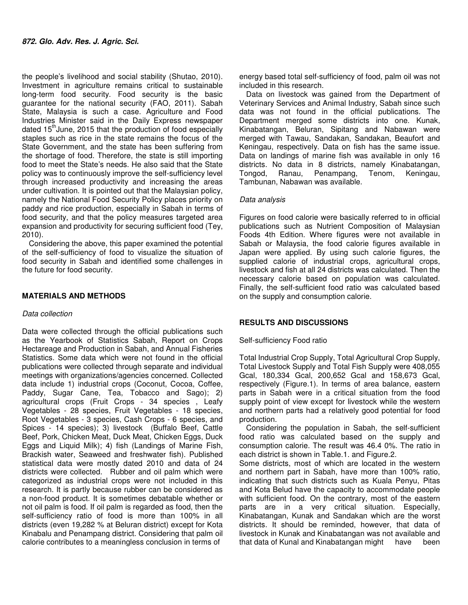the people's livelihood and social stability (Shutao, 2010). Investment in agriculture remains critical to sustainable long-term food security. Food security is the basic guarantee for the national security (FAO, 2011). Sabah State, Malaysia is such a case. Agriculture and Food Industries Minister said in the Daily Express newspaper dated  $15<sup>th</sup>$  June, 2015 that the production of food especially staples such as rice in the state remains the focus of the State Government, and the state has been suffering from the shortage of food. Therefore, the state is still importing food to meet the State's needs. He also said that the State policy was to continuously improve the self-sufficiency level through increased productivity and increasing the areas under cultivation. It is pointed out that the Malaysian policy, namely the National Food Security Policy places priority on paddy and rice production, especially in Sabah in terms of food security, and that the policy measures targeted area expansion and productivity for securing sufficient food (Tey, 2010).

Considering the above, this paper examined the potential of the self-sufficiency of food to visualize the situation of food security in Sabah and identified some challenges in the future for food security.

## **MATERIALS AND METHODS**

### Data collection

Data were collected through the official publications such as the Yearbook of Statistics Sabah, Report on Crops Hectareage and Production in Sabah, and Annual Fisheries Statistics. Some data which were not found in the official publications were collected through separate and individual meetings with organizations/agencies concerned. Collected data include 1) industrial crops (Coconut, Cocoa, Coffee, Paddy, Sugar Cane, Tea, Tobacco and Sago); 2) agricultural crops (Fruit Crops - 34 species , Leafy Vegetables - 28 species, Fruit Vegetables - 18 species, Root Vegetables - 3 species, Cash Crops - 6 species, and Spices - 14 species); 3) livestock (Buffalo Beef, Cattle Beef, Pork, Chicken Meat, Duck Meat, Chicken Eggs, Duck Eggs and Liquid Milk); 4) fish (Landings of Marine Fish, Brackish water, Seaweed and freshwater fish). Published statistical data were mostly dated 2010 and data of 24 districts were collected. Rubber and oil palm which were categorized as industrial crops were not included in this research. It is partly because rubber can be considered as a non-food product. It is sometimes debatable whether or not oil palm is food. If oil palm is regarded as food, then the self-sufficiency ratio of food is more than 100% in all districts (even 19,282 % at Beluran district) except for Kota Kinabalu and Penampang district. Considering that palm oil calorie contributes to a meaningless conclusion in terms of

energy based total self-sufficiency of food, palm oil was not included in this research.

Data on livestock was gained from the Department of Veterinary Services and Animal Industry, Sabah since such data was not found in the official publications. The Department merged some districts into one. Kunak, Kinabatangan, Beluran, Sipitang and Nabawan were merged with Tawau, Sandakan, Sandakan, Beaufort and Keningau, respectively. Data on fish has the same issue. Data on landings of marine fish was available in only 16 districts. No data in 8 districts, namely Kinabatangan, Tongod, Ranau, Penampang, Tenom, Keningau, Tambunan, Nabawan was available.

### Data analysis

Figures on food calorie were basically referred to in official publications such as Nutrient Composition of Malaysian Foods 4th Edition. Where figures were not available in Sabah or Malaysia, the food calorie figures available in Japan were applied. By using such calorie figures, the supplied calorie of industrial crops, agricultural crops, livestock and fish at all 24 districts was calculated. Then the necessary calorie based on population was calculated. Finally, the self-sufficient food ratio was calculated based on the supply and consumption calorie.

### **RESULTS AND DISCUSSIONS**

### Self-sufficiency Food ratio

Total Industrial Crop Supply, Total Agricultural Crop Supply, Total Livestock Supply and Total Fish Supply were 408,055 Gcal, 180,334 Gcal, 200,652 Gcal and 158,673 Gcal, respectively (Figure.1). In terms of area balance, eastern parts in Sabah were in a critical situation from the food supply point of view except for livestock while the western and northern parts had a relatively good potential for food production.

Considering the population in Sabah, the self-sufficient food ratio was calculated based on the supply and consumption calorie. The result was 46.4 0%. The ratio in each district is shown in Table.1. and Figure.2.

Some districts, most of which are located in the western and northern part in Sabah, have more than 100% ratio, indicating that such districts such as Kuala Penyu, Pitas and Kota Belud have the capacity to accommodate people with sufficient food. On the contrary, most of the eastern parts are in a very critical situation. Especially, Kinabatangan, Kunak and Sandakan which are the worst districts. It should be reminded, however, that data of livestock in Kunak and Kinabatangan was not available and that data of Kunal and Kinabatangan might have been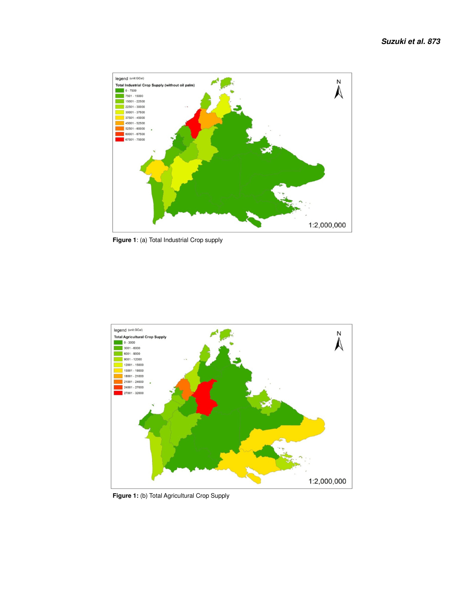

 **Figure 1**: (a) Total Industrial Crop supply



 **Figure 1:** (b) Total Agricultural Crop Supply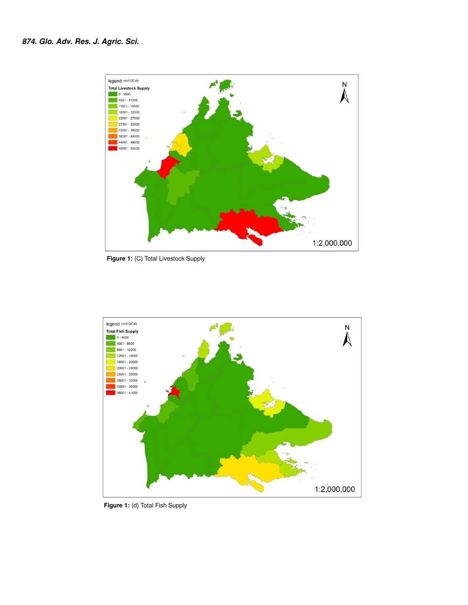

 **Figure 1:** (C) Total Livestock Supply



 **Figure 1:** (d) Total Fish Supply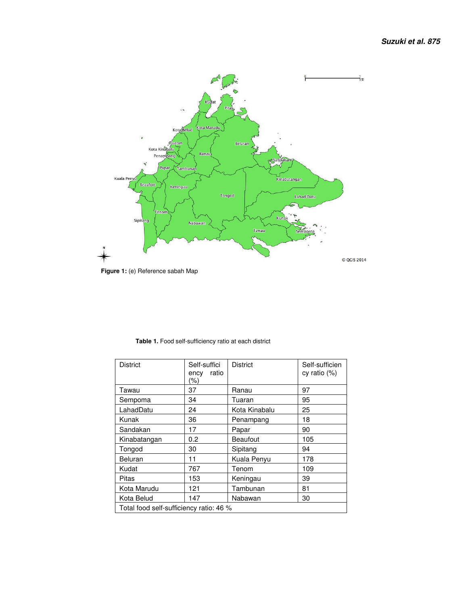

| <b>District</b>                         | Self-suffici<br>ratio<br>ency<br>(%) | <b>District</b> | Self-sufficien<br>cy ratio $(%)$ |
|-----------------------------------------|--------------------------------------|-----------------|----------------------------------|
| Tawau                                   | 37                                   | Ranau           | 97                               |
| Sempoma                                 | 34                                   | Tuaran          | 95                               |
| LahadDatu                               | 24                                   | Kota Kinabalu   | 25                               |
| Kunak                                   | 36                                   | Penampang       | 18                               |
| Sandakan                                | 17                                   | Papar           | 90                               |
| Kinabatangan                            | 0.2                                  | Beaufout        | 105                              |
| Tongod                                  | 30                                   | Sipitang        | 94                               |
| Beluran                                 | 11                                   | Kuala Penyu     | 178                              |
| Kudat                                   | 767                                  | Tenom           | 109                              |
| Pitas                                   | 153                                  | Keningau        | 39                               |
| Kota Marudu                             | 121                                  | Tambunan        | 81                               |
| Kota Belud                              | 147                                  | Nabawan         | 30                               |
| Total food self-sufficiency ratio: 46 % |                                      |                 |                                  |

 **Table 1.** Food self-sufficiency ratio at each district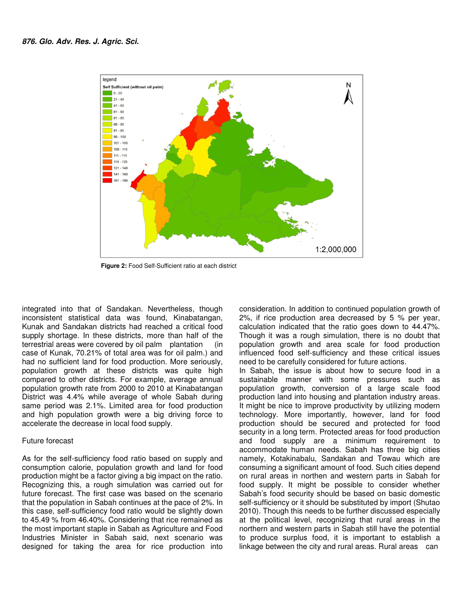

 **Figure 2:** Food Self-Sufficient ratio at each district

integrated into that of Sandakan. Nevertheless, though inconsistent statistical data was found, Kinabatangan, Kunak and Sandakan districts had reached a critical food supply shortage. In these districts, more than half of the terrestrial areas were covered by oil palm plantation (in case of Kunak, 70.21% of total area was for oil palm.) and had no sufficient land for food production. More seriously, population growth at these districts was quite high compared to other districts. For example, average annual population growth rate from 2000 to 2010 at Kinabatangan District was 4.4% while average of whole Sabah during same period was 2.1%. Limited area for food production and high population growth were a big driving force to accelerate the decrease in local food supply.

#### Future forecast

As for the self-sufficiency food ratio based on supply and consumption calorie, population growth and land for food production might be a factor giving a big impact on the ratio. Recognizing this, a rough simulation was carried out for future forecast. The first case was based on the scenario that the population in Sabah continues at the pace of 2%. In this case, self-sufficiency food ratio would be slightly down to 45.49 % from 46.40%. Considering that rice remained as the most important staple in Sabah as Agriculture and Food Industries Minister in Sabah said, next scenario was designed for taking the area for rice production into

consideration. In addition to continued population growth of 2%, if rice production area decreased by 5 % per year, calculation indicated that the ratio goes down to 44.47%. Though it was a rough simulation, there is no doubt that population growth and area scale for food production influenced food self-sufficiency and these critical issues need to be carefully considered for future actions.

In Sabah, the issue is about how to secure food in a sustainable manner with some pressures such as population growth, conversion of a large scale food production land into housing and plantation industry areas. It might be nice to improve productivity by utilizing modern technology. More importantly, however, land for food production should be secured and protected for food security in a long term. Protected areas for food production and food supply are a minimum requirement to accommodate human needs. Sabah has three big cities namely, Kotakinabalu, Sandakan and Towau which are consuming a significant amount of food. Such cities depend on rural areas in northen and western parts in Sabah for food supply. It might be possible to consider whether Sabah's food security should be based on basic domestic self-sufficiency or it should be substituted by import (Shutao 2010). Though this needs to be further discussed especially at the political level, recognizing that rural areas in the northern and western parts in Sabah still have the potential to produce surplus food, it is important to establish a linkage between the city and rural areas. Rural areas can